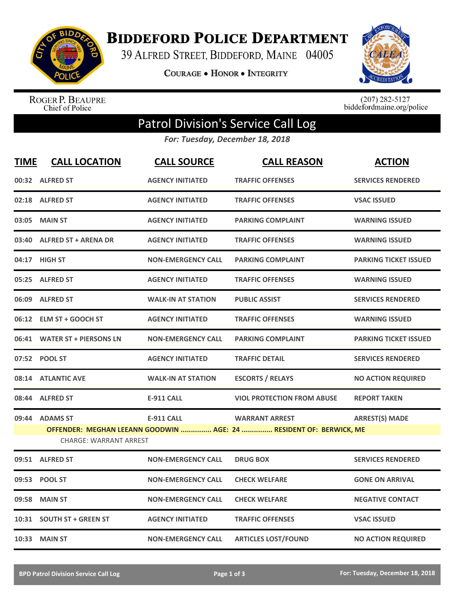

**BIDDEFORD POLICE DEPARTMENT** 

39 ALFRED STREET, BIDDEFORD, MAINE 04005

**COURAGE . HONOR . INTEGRITY** 



ROGER P. BEAUPRE<br>Chief of Police

 $(207)$  282-5127<br>biddefordmaine.org/police

## Patrol Division's Service Call Log

*For: Tuesday, December 18, 2018*

| <b>TIME</b> | <b>CALL LOCATION</b>                                                                                | <b>CALL SOURCE</b>        | <b>CALL REASON</b>                | <b>ACTION</b>                |  |
|-------------|-----------------------------------------------------------------------------------------------------|---------------------------|-----------------------------------|------------------------------|--|
|             | 00:32 ALFRED ST                                                                                     | <b>AGENCY INITIATED</b>   | <b>TRAFFIC OFFENSES</b>           | <b>SERVICES RENDERED</b>     |  |
|             | 02:18 ALFRED ST                                                                                     | <b>AGENCY INITIATED</b>   | <b>TRAFFIC OFFENSES</b>           | <b>VSAC ISSUED</b>           |  |
| 03:05       | <b>MAIN ST</b>                                                                                      | <b>AGENCY INITIATED</b>   | <b>PARKING COMPLAINT</b>          | <b>WARNING ISSUED</b>        |  |
|             | 03:40 ALFRED ST + ARENA DR                                                                          | <b>AGENCY INITIATED</b>   | <b>TRAFFIC OFFENSES</b>           | <b>WARNING ISSUED</b>        |  |
|             | 04:17 HIGH ST                                                                                       | <b>NON-EMERGENCY CALL</b> | <b>PARKING COMPLAINT</b>          | <b>PARKING TICKET ISSUED</b> |  |
|             | 05:25 ALFRED ST                                                                                     | <b>AGENCY INITIATED</b>   | <b>TRAFFIC OFFENSES</b>           | <b>WARNING ISSUED</b>        |  |
|             | 06:09 ALFRED ST                                                                                     | <b>WALK-IN AT STATION</b> | <b>PUBLIC ASSIST</b>              | <b>SERVICES RENDERED</b>     |  |
|             | 06:12 ELM ST + GOOCH ST                                                                             | <b>AGENCY INITIATED</b>   | <b>TRAFFIC OFFENSES</b>           | <b>WARNING ISSUED</b>        |  |
|             | 06:41 WATER ST + PIERSONS LN                                                                        | <b>NON-EMERGENCY CALL</b> | <b>PARKING COMPLAINT</b>          | <b>PARKING TICKET ISSUED</b> |  |
|             | 07:52 POOL ST                                                                                       | <b>AGENCY INITIATED</b>   | <b>TRAFFIC DETAIL</b>             | <b>SERVICES RENDERED</b>     |  |
|             | 08:14 ATLANTIC AVE                                                                                  | <b>WALK-IN AT STATION</b> | <b>ESCORTS / RELAYS</b>           | <b>NO ACTION REQUIRED</b>    |  |
|             | 08:44 ALFRED ST                                                                                     | <b>E-911 CALL</b>         | <b>VIOL PROTECTION FROM ABUSE</b> | <b>REPORT TAKEN</b>          |  |
|             | 09:44 ADAMS ST                                                                                      | <b>E-911 CALL</b>         | <b>WARRANT ARREST</b>             | <b>ARREST(S) MADE</b>        |  |
|             | OFFENDER: MEGHAN LEEANN GOODWIN  AGE: 24  RESIDENT OF: BERWICK, ME<br><b>CHARGE: WARRANT ARREST</b> |                           |                                   |                              |  |
|             |                                                                                                     |                           |                                   |                              |  |
|             | 09:51 ALFRED ST                                                                                     | <b>NON-EMERGENCY CALL</b> | <b>DRUG BOX</b>                   | <b>SERVICES RENDERED</b>     |  |
|             | 09:53 POOL ST                                                                                       | <b>NON-EMERGENCY CALL</b> | <b>CHECK WELFARE</b>              | <b>GONE ON ARRIVAL</b>       |  |
| 09:58       | <b>MAIN ST</b>                                                                                      | <b>NON-EMERGENCY CALL</b> | <b>CHECK WELFARE</b>              | <b>NEGATIVE CONTACT</b>      |  |
|             | 10:31 SOUTH ST + GREEN ST                                                                           | <b>AGENCY INITIATED</b>   | <b>TRAFFIC OFFENSES</b>           | <b>VSAC ISSUED</b>           |  |
|             | 10:33 MAIN ST                                                                                       | <b>NON-EMERGENCY CALL</b> | <b>ARTICLES LOST/FOUND</b>        | <b>NO ACTION REQUIRED</b>    |  |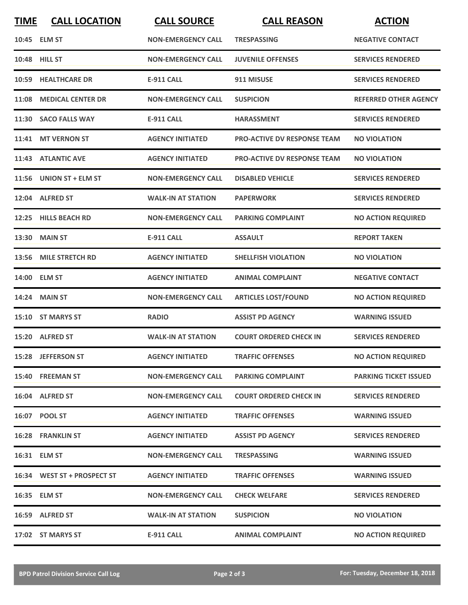| <b>TIME</b> | <b>CALL LOCATION</b>        | <b>CALL SOURCE</b>        | <b>CALL REASON</b>                 | <b>ACTION</b>                |
|-------------|-----------------------------|---------------------------|------------------------------------|------------------------------|
|             | 10:45 ELM ST                | <b>NON-EMERGENCY CALL</b> | <b>TRESPASSING</b>                 | <b>NEGATIVE CONTACT</b>      |
|             | 10:48 HILL ST               | <b>NON-EMERGENCY CALL</b> | <b>JUVENILE OFFENSES</b>           | <b>SERVICES RENDERED</b>     |
|             | 10:59 HEALTHCARE DR         | <b>E-911 CALL</b>         | 911 MISUSE                         | <b>SERVICES RENDERED</b>     |
|             | 11:08 MEDICAL CENTER DR     | <b>NON-EMERGENCY CALL</b> | <b>SUSPICION</b>                   | <b>REFERRED OTHER AGENCY</b> |
|             | 11:30 SACO FALLS WAY        | <b>E-911 CALL</b>         | <b>HARASSMENT</b>                  | <b>SERVICES RENDERED</b>     |
|             | 11:41 MT VERNON ST          | <b>AGENCY INITIATED</b>   | <b>PRO-ACTIVE DV RESPONSE TEAM</b> | <b>NO VIOLATION</b>          |
|             | 11:43 ATLANTIC AVE          | <b>AGENCY INITIATED</b>   | <b>PRO-ACTIVE DV RESPONSE TEAM</b> | <b>NO VIOLATION</b>          |
|             | 11:56 UNION ST + ELM ST     | <b>NON-EMERGENCY CALL</b> | <b>DISABLED VEHICLE</b>            | <b>SERVICES RENDERED</b>     |
|             | 12:04 ALFRED ST             | <b>WALK-IN AT STATION</b> | <b>PAPERWORK</b>                   | <b>SERVICES RENDERED</b>     |
|             | 12:25 HILLS BEACH RD        | <b>NON-EMERGENCY CALL</b> | <b>PARKING COMPLAINT</b>           | <b>NO ACTION REQUIRED</b>    |
|             | 13:30 MAIN ST               | <b>E-911 CALL</b>         | <b>ASSAULT</b>                     | <b>REPORT TAKEN</b>          |
|             | 13:56 MILE STRETCH RD       | <b>AGENCY INITIATED</b>   | <b>SHELLFISH VIOLATION</b>         | <b>NO VIOLATION</b>          |
|             | 14:00 ELM ST                | <b>AGENCY INITIATED</b>   | <b>ANIMAL COMPLAINT</b>            | <b>NEGATIVE CONTACT</b>      |
|             | <b>14:24 MAIN ST</b>        | <b>NON-EMERGENCY CALL</b> | <b>ARTICLES LOST/FOUND</b>         | <b>NO ACTION REQUIRED</b>    |
|             | 15:10 ST MARYS ST           | <b>RADIO</b>              | <b>ASSIST PD AGENCY</b>            | <b>WARNING ISSUED</b>        |
|             | 15:20 ALFRED ST             | <b>WALK-IN AT STATION</b> | <b>COURT ORDERED CHECK IN</b>      | <b>SERVICES RENDERED</b>     |
|             | 15:28 JEFFERSON ST          | <b>AGENCY INITIATED</b>   | <b>TRAFFIC OFFENSES</b>            | <b>NO ACTION REQUIRED</b>    |
|             | 15:40 FREEMAN ST            | <b>NON-EMERGENCY CALL</b> | <b>PARKING COMPLAINT</b>           | <b>PARKING TICKET ISSUED</b> |
|             | 16:04 ALFRED ST             | <b>NON-EMERGENCY CALL</b> | <b>COURT ORDERED CHECK IN</b>      | <b>SERVICES RENDERED</b>     |
|             | 16:07 POOL ST               | <b>AGENCY INITIATED</b>   | <b>TRAFFIC OFFENSES</b>            | <b>WARNING ISSUED</b>        |
|             | <b>16:28 FRANKLIN ST</b>    | <b>AGENCY INITIATED</b>   | <b>ASSIST PD AGENCY</b>            | <b>SERVICES RENDERED</b>     |
|             | 16:31 ELM ST                | <b>NON-EMERGENCY CALL</b> | <b>TRESPASSING</b>                 | <b>WARNING ISSUED</b>        |
|             | 16:34 WEST ST + PROSPECT ST | <b>AGENCY INITIATED</b>   | <b>TRAFFIC OFFENSES</b>            | <b>WARNING ISSUED</b>        |
|             | 16:35 ELM ST                | <b>NON-EMERGENCY CALL</b> | <b>CHECK WELFARE</b>               | <b>SERVICES RENDERED</b>     |
|             | 16:59 ALFRED ST             | <b>WALK-IN AT STATION</b> | <b>SUSPICION</b>                   | <b>NO VIOLATION</b>          |
|             | 17:02 ST MARYS ST           | <b>E-911 CALL</b>         | <b>ANIMAL COMPLAINT</b>            | <b>NO ACTION REQUIRED</b>    |